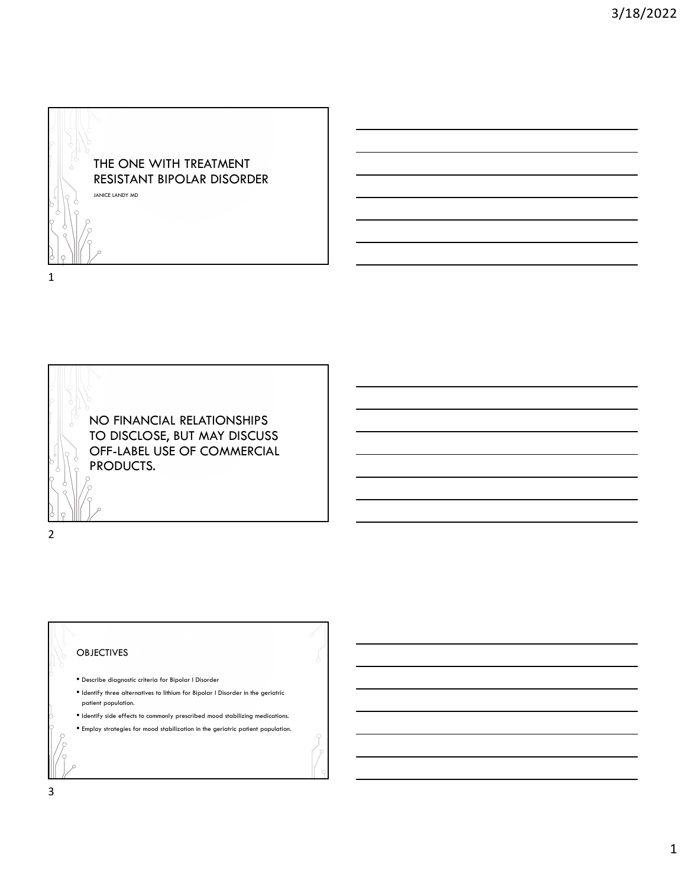



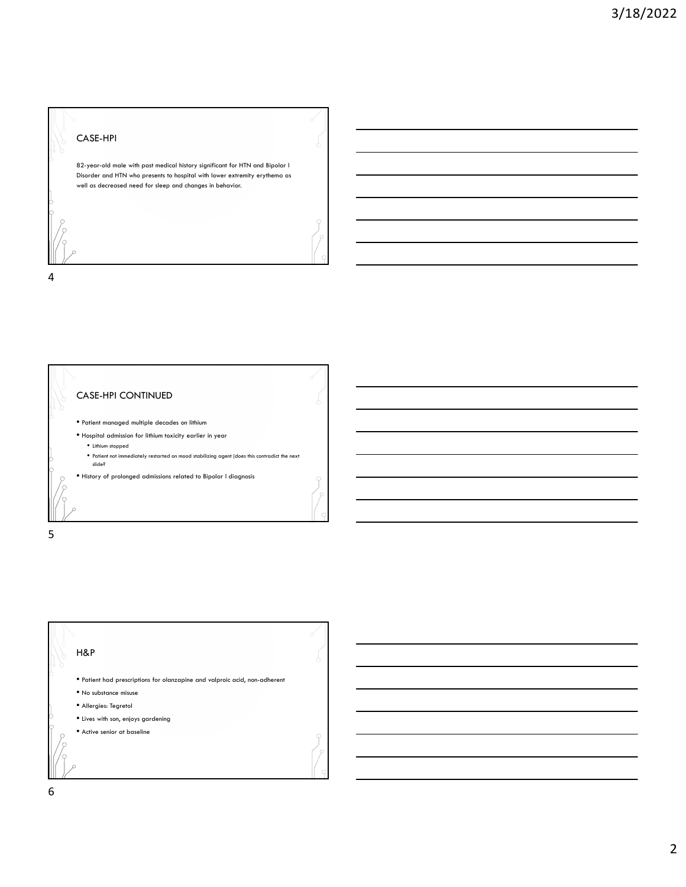## CASE-HPI

4

5

82-year-old male with past medical history significant for HTN and Bipolar I Disorder and HTN who presents to hospital with lower extremity erythema as well as decreased need for sleep and changes in behavior.

CASE-HPI CONTINUED • Patient managed multiple decades on lithium • Hospital admission for lithium toxicity earlier in year • Lithium stopped • Patient not immediately restarted on mood stabilizing agent (does this contradict the next slide? • History of prolonged admissions related to Bipolar I diagnosis

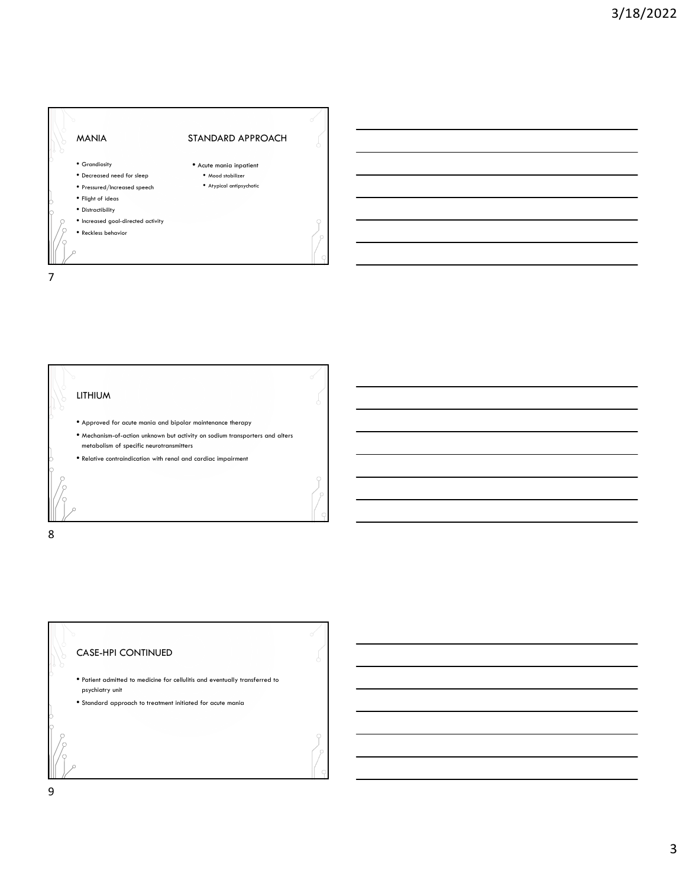



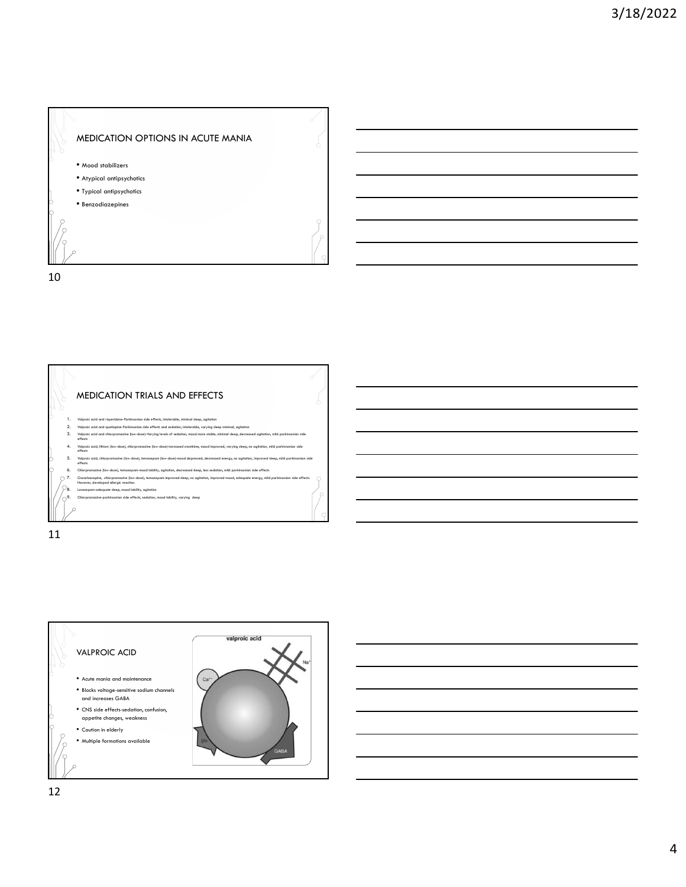



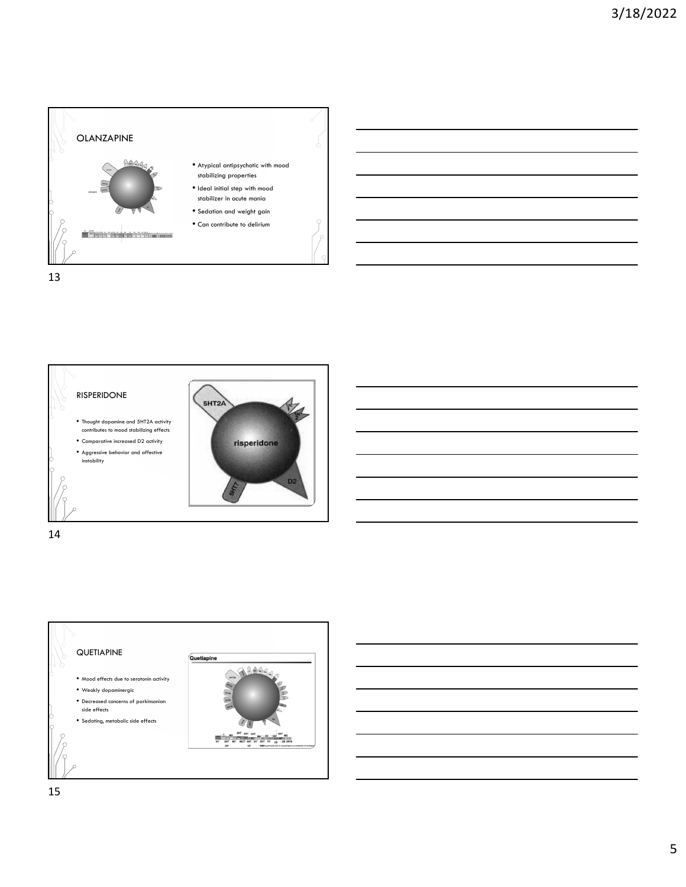







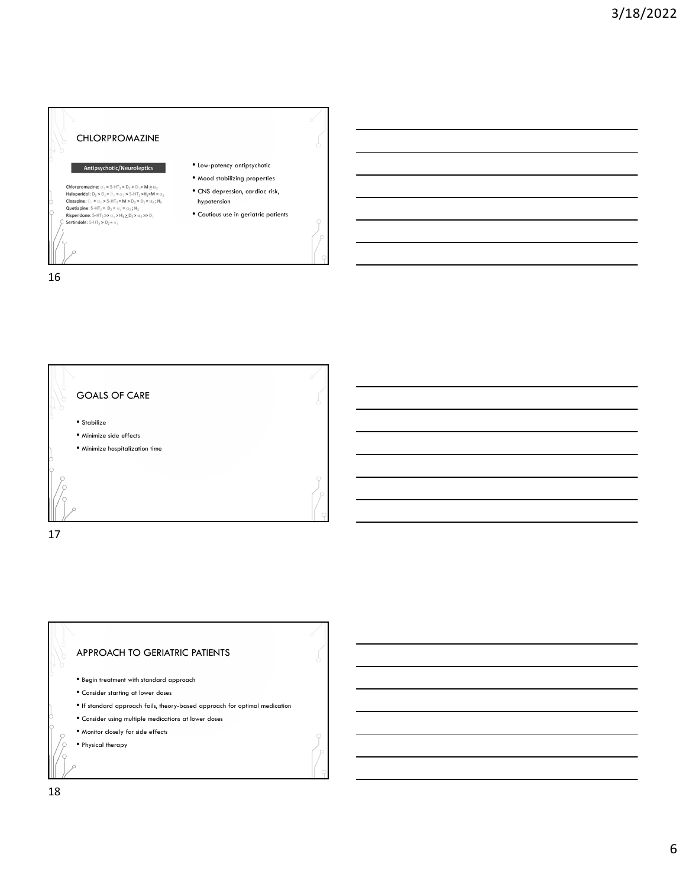